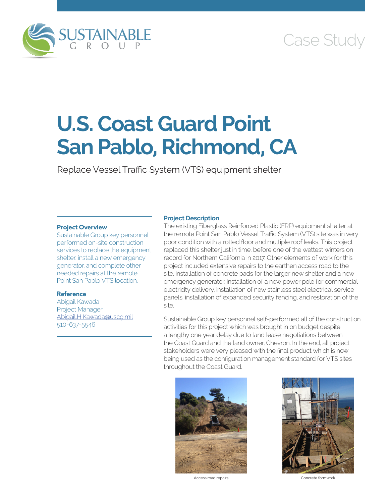

# Case Study

# **U.S. Coast Guard Point San Pablo, Richmond, CA**

Replace Vessel Traffic System (VTS) equipment shelter

## **Project Overview**

Sustainable Group key personnel performed on-site construction services to replace the equipment shelter, install a new emergency generator, and complete other needed repairs at the remote Point San Pablo VTS location.

# **Reference**

Abigail Kawada Project Manager [Abigail.H.Kawada@uscg.mil](mailto:Abigail.H.Kawada@uscg.mil) 510-637-5546

# **Project Description**

The existing Fiberglass Reinforced Plastic (FRP) equipment shelter at the remote Point San Pablo Vessel Traffic System (VTS) site was in very poor condition with a rotted floor and multiple roof leaks. This project replaced this shelter just in time, before one of the wettest winters on record for Northern California in 2017. Other elements of work for this project included extensive repairs to the earthen access road to the site, installation of concrete pads for the larger new shelter and a new emergency generator, installation of a new power pole for commercial electricity delivery, installation of new stainless steel electrical service panels, installation of expanded security fencing, and restoration of the site.

Sustainable Group key personnel self-performed all of the construction activities for this project which was brought in on budget despite a lengthy one year delay due to land lease negotiations between the Coast Guard and the land owner, Chevron. In the end, all project stakeholders were very pleased with the final product which is now being used as the configuration management standard for VTS sites throughout the Coast Guard.



Access road repairs **Concrete formwork**